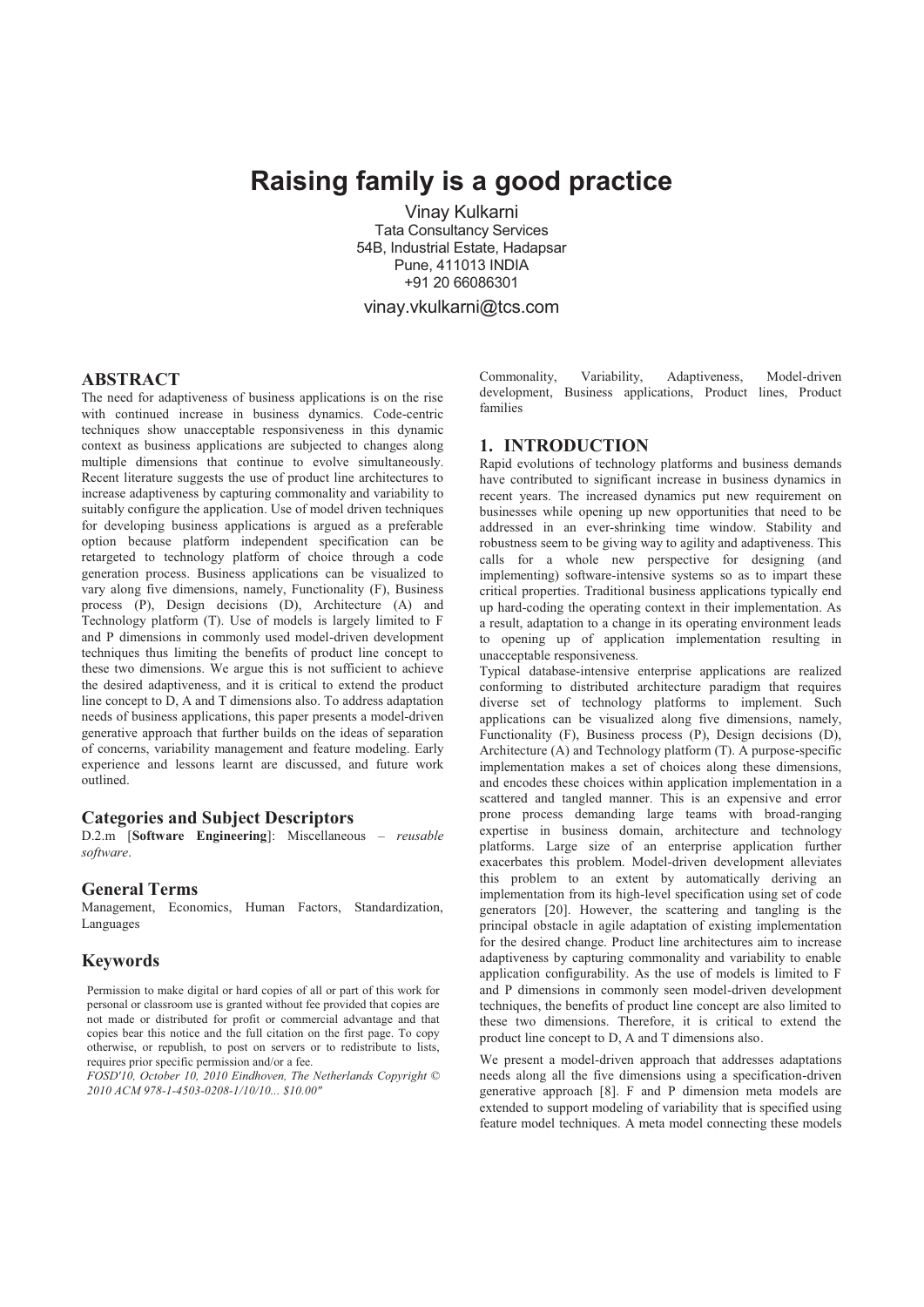# **Raising family is a good practice**

Vinay Kulkarni Tata Consultancy Services 54B, Industrial Estate, Hadapsar Pune, 411013 INDIA +91 20 66086301

vinay.vkulkarni@tcs.com

### **ABSTRACT**

The need for adaptiveness of business applications is on the rise with continued increase in business dynamics. Code-centric techniques show unacceptable responsiveness in this dynamic context as business applications are subjected to changes along multiple dimensions that continue to evolve simultaneously. Recent literature suggests the use of product line architectures to increase adaptiveness by capturing commonality and variability to suitably configure the application. Use of model driven techniques for developing business applications is argued as a preferable option because platform independent specification can be retargeted to technology platform of choice through a code generation process. Business applications can be visualized to vary along five dimensions, namely, Functionality (F), Business process (P), Design decisions (D), Architecture (A) and Technology platform (T). Use of models is largely limited to F and P dimensions in commonly used model-driven development techniques thus limiting the benefits of product line concept to these two dimensions. We argue this is not sufficient to achieve the desired adaptiveness, and it is critical to extend the product line concept to D, A and T dimensions also. To address adaptation needs of business applications, this paper presents a model-driven generative approach that further builds on the ideas of separation of concerns, variability management and feature modeling. Early experience and lessons learnt are discussed, and future work outlined.

#### **Categories and Subject Descriptors**

D.2.m [**Software Engineering**]: Miscellaneous – *reusable software*.

#### **General Terms**

Management, Economics, Human Factors, Standardization, Languages

## **Keywords**

Permission to make digital or hard copies of all or part of this work for personal or classroom use is granted without fee provided that copies are not made or distributed for profit or commercial advantage and that copies bear this notice and the full citation on the first page. To copy otherwise, or republish, to post on servers or to redistribute to lists, requires prior specific permission and/or a fee.

*FOSD'10, October 10, 2010 Eindhoven, The Netherlands Copyright © 2010 ACM 978-1-4503-0208-1/10/10... \$10.00"*

Commonality, Variability, Adaptiveness, Model-driven development, Business applications, Product lines, Product families

#### **1. INTRODUCTION**

Rapid evolutions of technology platforms and business demands have contributed to significant increase in business dynamics in recent years. The increased dynamics put new requirement on businesses while opening up new opportunities that need to be addressed in an ever-shrinking time window. Stability and robustness seem to be giving way to agility and adaptiveness. This calls for a whole new perspective for designing (and implementing) software-intensive systems so as to impart these critical properties. Traditional business applications typically end up hard-coding the operating context in their implementation. As a result, adaptation to a change in its operating environment leads to opening up of application implementation resulting in unacceptable responsiveness.

Typical database-intensive enterprise applications are realized conforming to distributed architecture paradigm that requires diverse set of technology platforms to implement. Such applications can be visualized along five dimensions, namely, Functionality (F), Business process (P), Design decisions (D), Architecture (A) and Technology platform (T). A purpose-specific implementation makes a set of choices along these dimensions, and encodes these choices within application implementation in a scattered and tangled manner. This is an expensive and error prone process demanding large teams with broad-ranging expertise in business domain, architecture and technology platforms. Large size of an enterprise application further exacerbates this problem. Model-driven development alleviates this problem to an extent by automatically deriving an implementation from its high-level specification using set of code generators [20]. However, the scattering and tangling is the principal obstacle in agile adaptation of existing implementation for the desired change. Product line architectures aim to increase adaptiveness by capturing commonality and variability to enable application configurability. As the use of models is limited to F and P dimensions in commonly seen model-driven development techniques, the benefits of product line concept are also limited to these two dimensions. Therefore, it is critical to extend the product line concept to D, A and T dimensions also.

We present a model-driven approach that addresses adaptations needs along all the five dimensions using a specification-driven generative approach [8]. F and P dimension meta models are extended to support modeling of variability that is specified using feature model techniques. A meta model connecting these models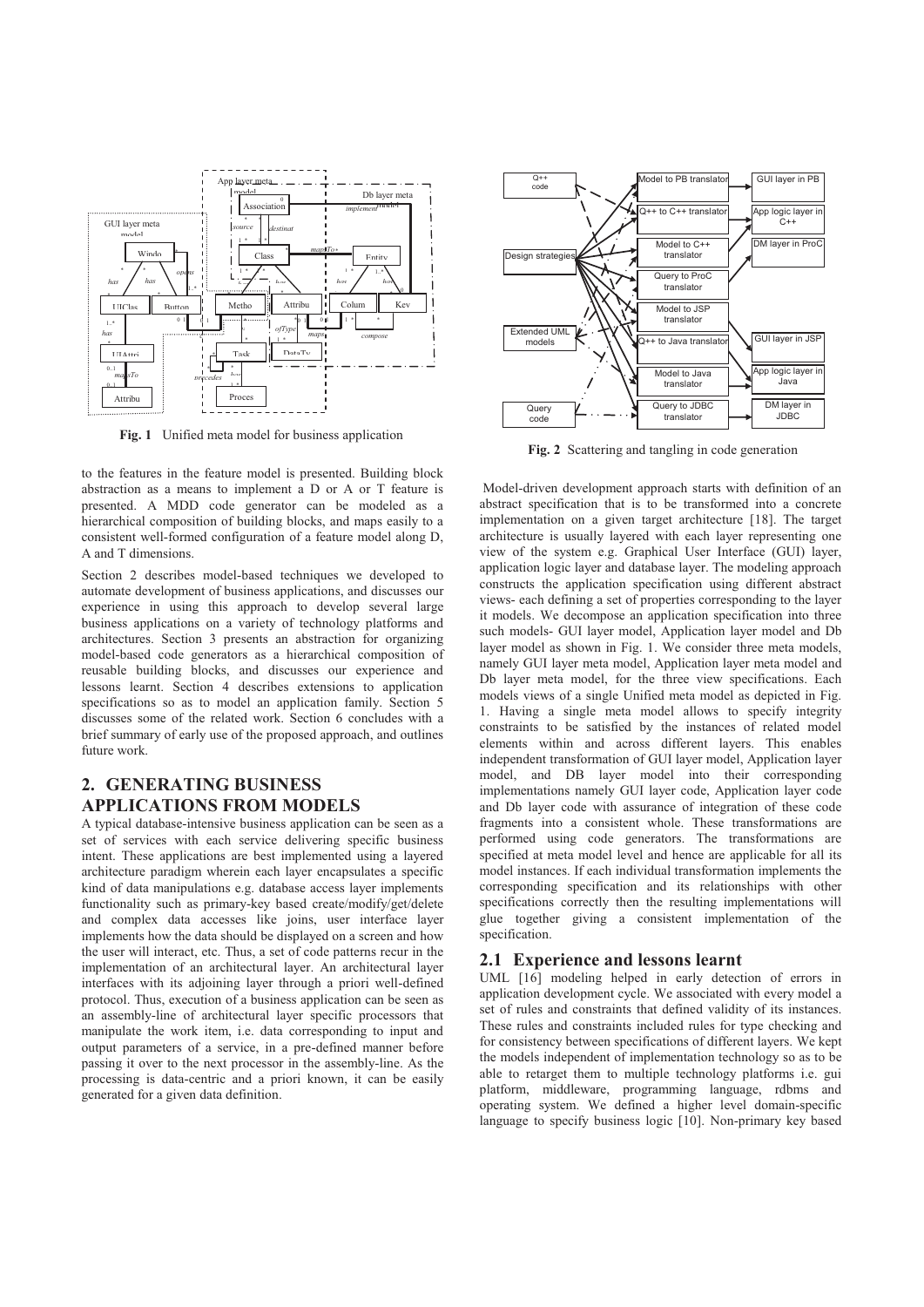

**Fig. 1** Unified meta model for business application

to the features in the feature model is presented. Building block abstraction as a means to implement a D or A or T feature is presented. A MDD code generator can be modeled as a hierarchical composition of building blocks, and maps easily to a consistent well-formed configuration of a feature model along D, A and T dimensions.

Section 2 describes model-based techniques we developed to automate development of business applications, and discusses our experience in using this approach to develop several large business applications on a variety of technology platforms and architectures. Section 3 presents an abstraction for organizing model-based code generators as a hierarchical composition of reusable building blocks, and discusses our experience and lessons learnt. Section 4 describes extensions to application specifications so as to model an application family. Section 5 discusses some of the related work. Section 6 concludes with a brief summary of early use of the proposed approach, and outlines future work.

# **2. GENERATING BUSINESS APPLICATIONS FROM MODELS**

A typical database-intensive business application can be seen as a set of services with each service delivering specific business intent. These applications are best implemented using a layered architecture paradigm wherein each layer encapsulates a specific kind of data manipulations e.g. database access layer implements functionality such as primary-key based create/modify/get/delete and complex data accesses like joins, user interface layer implements how the data should be displayed on a screen and how the user will interact, etc. Thus, a set of code patterns recur in the implementation of an architectural layer. An architectural layer interfaces with its adjoining layer through a priori well-defined protocol. Thus, execution of a business application can be seen as an assembly-line of architectural layer specific processors that manipulate the work item, i.e. data corresponding to input and output parameters of a service, in a pre-defined manner before passing it over to the next processor in the assembly-line. As the processing is data-centric and a priori known, it can be easily generated for a given data definition.



**Fig. 2** Scattering and tangling in code generation

 Model-driven development approach starts with definition of an abstract specification that is to be transformed into a concrete implementation on a given target architecture [18]. The target architecture is usually layered with each layer representing one view of the system e.g. Graphical User Interface (GUI) layer, application logic layer and database layer. The modeling approach constructs the application specification using different abstract views- each defining a set of properties corresponding to the layer it models. We decompose an application specification into three such models- GUI layer model, Application layer model and Db layer model as shown in Fig. 1. We consider three meta models, namely GUI layer meta model, Application layer meta model and Db layer meta model, for the three view specifications. Each models views of a single Unified meta model as depicted in Fig. 1. Having a single meta model allows to specify integrity constraints to be satisfied by the instances of related model elements within and across different layers. This enables independent transformation of GUI layer model, Application layer model, and DB layer model into their corresponding implementations namely GUI layer code, Application layer code and Db layer code with assurance of integration of these code fragments into a consistent whole. These transformations are performed using code generators. The transformations are specified at meta model level and hence are applicable for all its model instances. If each individual transformation implements the corresponding specification and its relationships with other specifications correctly then the resulting implementations will glue together giving a consistent implementation of the specification.

#### **2.1 Experience and lessons learnt**

UML [16] modeling helped in early detection of errors in application development cycle. We associated with every model a set of rules and constraints that defined validity of its instances. These rules and constraints included rules for type checking and for consistency between specifications of different layers. We kept the models independent of implementation technology so as to be able to retarget them to multiple technology platforms i.e. gui platform, middleware, programming language, rdbms and operating system. We defined a higher level domain-specific language to specify business logic [10]. Non-primary key based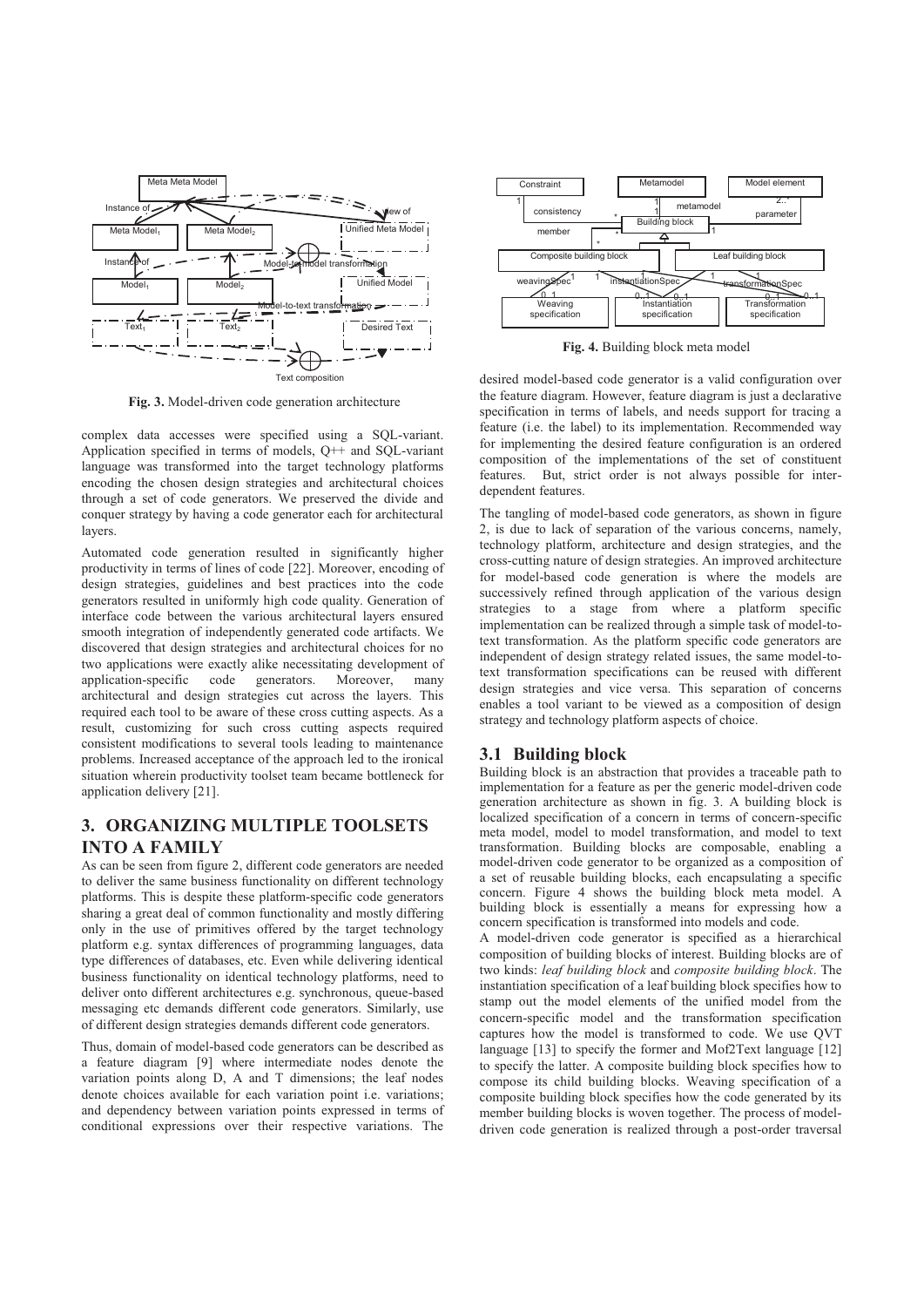

**Fig. 3.** Model-driven code generation architecture

complex data accesses were specified using a SQL-variant. Application specified in terms of models, Q++ and SQL-variant language was transformed into the target technology platforms encoding the chosen design strategies and architectural choices through a set of code generators. We preserved the divide and conquer strategy by having a code generator each for architectural layers.

Automated code generation resulted in significantly higher productivity in terms of lines of code [22]. Moreover, encoding of design strategies, guidelines and best practices into the code generators resulted in uniformly high code quality. Generation of interface code between the various architectural layers ensured smooth integration of independently generated code artifacts. We discovered that design strategies and architectural choices for no two applications were exactly alike necessitating development of application-specific code generators. Moreover, many architectural and design strategies cut across the layers. This required each tool to be aware of these cross cutting aspects. As a result, customizing for such cross cutting aspects required consistent modifications to several tools leading to maintenance problems. Increased acceptance of the approach led to the ironical situation wherein productivity toolset team became bottleneck for application delivery [21].

# **3. ORGANIZING MULTIPLE TOOLSETS INTO A FAMILY**

As can be seen from figure 2, different code generators are needed to deliver the same business functionality on different technology platforms. This is despite these platform-specific code generators sharing a great deal of common functionality and mostly differing only in the use of primitives offered by the target technology platform e.g. syntax differences of programming languages, data type differences of databases, etc. Even while delivering identical business functionality on identical technology platforms, need to deliver onto different architectures e.g. synchronous, queue-based messaging etc demands different code generators. Similarly, use of different design strategies demands different code generators.

Thus, domain of model-based code generators can be described as a feature diagram [9] where intermediate nodes denote the variation points along D, A and T dimensions; the leaf nodes denote choices available for each variation point i.e. variations; and dependency between variation points expressed in terms of conditional expressions over their respective variations. The



**Fig. 4.** Building block meta model

desired model-based code generator is a valid configuration over the feature diagram. However, feature diagram is just a declarative specification in terms of labels, and needs support for tracing a feature (i.e. the label) to its implementation. Recommended way for implementing the desired feature configuration is an ordered composition of the implementations of the set of constituent features. But, strict order is not always possible for interdependent features.

The tangling of model-based code generators, as shown in figure 2, is due to lack of separation of the various concerns, namely, technology platform, architecture and design strategies, and the cross-cutting nature of design strategies. An improved architecture for model-based code generation is where the models are successively refined through application of the various design strategies to a stage from where a platform specific implementation can be realized through a simple task of model-totext transformation. As the platform specific code generators are independent of design strategy related issues, the same model-totext transformation specifications can be reused with different design strategies and vice versa. This separation of concerns enables a tool variant to be viewed as a composition of design strategy and technology platform aspects of choice.

## **3.1 Building block**

Building block is an abstraction that provides a traceable path to implementation for a feature as per the generic model-driven code generation architecture as shown in fig. 3. A building block is localized specification of a concern in terms of concern-specific meta model, model to model transformation, and model to text transformation. Building blocks are composable, enabling a model-driven code generator to be organized as a composition of a set of reusable building blocks, each encapsulating a specific concern. Figure 4 shows the building block meta model. A building block is essentially a means for expressing how a concern specification is transformed into models and code.

A model-driven code generator is specified as a hierarchical composition of building blocks of interest. Building blocks are of two kinds: *leaf building block* and *composite building block*. The instantiation specification of a leaf building block specifies how to stamp out the model elements of the unified model from the concern-specific model and the transformation specification captures how the model is transformed to code. We use QVT language [13] to specify the former and Mof2Text language [12] to specify the latter. A composite building block specifies how to compose its child building blocks. Weaving specification of a composite building block specifies how the code generated by its member building blocks is woven together. The process of modeldriven code generation is realized through a post-order traversal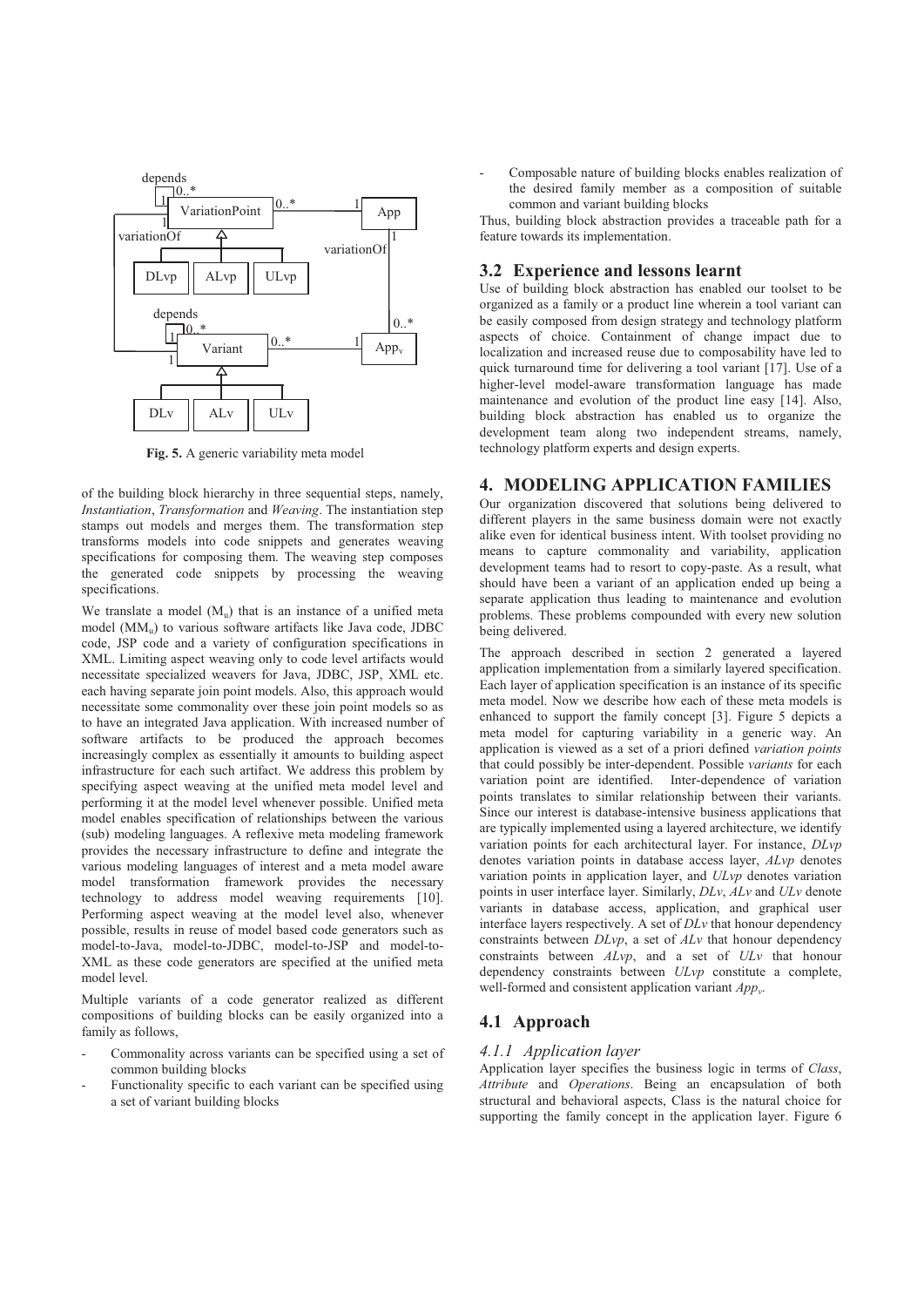

**Fig. 5.** A generic variability meta model

of the building block hierarchy in three sequential steps, namely, *Instantiation*, *Transformation* and *Weaving*. The instantiation step stamps out models and merges them. The transformation step transforms models into code snippets and generates weaving specifications for composing them. The weaving step composes the generated code snippets by processing the weaving specifications.

We translate a model  $(M<sub>u</sub>)$  that is an instance of a unified meta model (MM<sub>u</sub>) to various software artifacts like Java code, JDBC code, JSP code and a variety of configuration specifications in XML. Limiting aspect weaving only to code level artifacts would necessitate specialized weavers for Java, JDBC, JSP, XML etc. each having separate join point models. Also, this approach would necessitate some commonality over these join point models so as to have an integrated Java application. With increased number of software artifacts to be produced the approach becomes increasingly complex as essentially it amounts to building aspect infrastructure for each such artifact. We address this problem by specifying aspect weaving at the unified meta model level and performing it at the model level whenever possible. Unified meta model enables specification of relationships between the various (sub) modeling languages. A reflexive meta modeling framework provides the necessary infrastructure to define and integrate the various modeling languages of interest and a meta model aware model transformation framework provides the necessary technology to address model weaving requirements [10]. Performing aspect weaving at the model level also, whenever possible, results in reuse of model based code generators such as model-to-Java, model-to-JDBC, model-to-JSP and model-to-XML as these code generators are specified at the unified meta model level.

Multiple variants of a code generator realized as different compositions of building blocks can be easily organized into a family as follows,

- Commonality across variants can be specified using a set of common building blocks
- Functionality specific to each variant can be specified using a set of variant building blocks

Composable nature of building blocks enables realization of the desired family member as a composition of suitable common and variant building blocks

Thus, building block abstraction provides a traceable path for a feature towards its implementation.

## **3.2 Experience and lessons learnt**

Use of building block abstraction has enabled our toolset to be organized as a family or a product line wherein a tool variant can be easily composed from design strategy and technology platform aspects of choice. Containment of change impact due to localization and increased reuse due to composability have led to quick turnaround time for delivering a tool variant [17]. Use of a higher-level model-aware transformation language has made maintenance and evolution of the product line easy [14]. Also, building block abstraction has enabled us to organize the development team along two independent streams, namely, technology platform experts and design experts.

#### **4. MODELING APPLICATION FAMILIES**

Our organization discovered that solutions being delivered to different players in the same business domain were not exactly alike even for identical business intent. With toolset providing no means to capture commonality and variability, application development teams had to resort to copy-paste. As a result, what should have been a variant of an application ended up being a separate application thus leading to maintenance and evolution problems. These problems compounded with every new solution being delivered.

The approach described in section 2 generated a layered application implementation from a similarly layered specification. Each layer of application specification is an instance of its specific meta model. Now we describe how each of these meta models is enhanced to support the family concept [3]. Figure 5 depicts a meta model for capturing variability in a generic way. An application is viewed as a set of a priori defined *variation points* that could possibly be inter-dependent. Possible *variants* for each variation point are identified. Inter-dependence of variation points translates to similar relationship between their variants. Since our interest is database-intensive business applications that are typically implemented using a layered architecture, we identify variation points for each architectural layer. For instance, *DLvp* denotes variation points in database access layer, *ALvp* denotes variation points in application layer, and *ULvp* denotes variation points in user interface layer. Similarly, *DLv*, *ALv* and *ULv* denote variants in database access, application, and graphical user interface layers respectively. A set of *DLv* that honour dependency constraints between *DLvp*, a set of *ALv* that honour dependency constraints between *ALvp*, and a set of *ULv* that honour dependency constraints between *ULvp* constitute a complete, well-formed and consistent application variant *Appv*.

## **4.1 Approach**

#### *4.1.1 Application layer*

Application layer specifies the business logic in terms of *Class*, *Attribute* and *Operations*. Being an encapsulation of both structural and behavioral aspects, Class is the natural choice for supporting the family concept in the application layer. Figure 6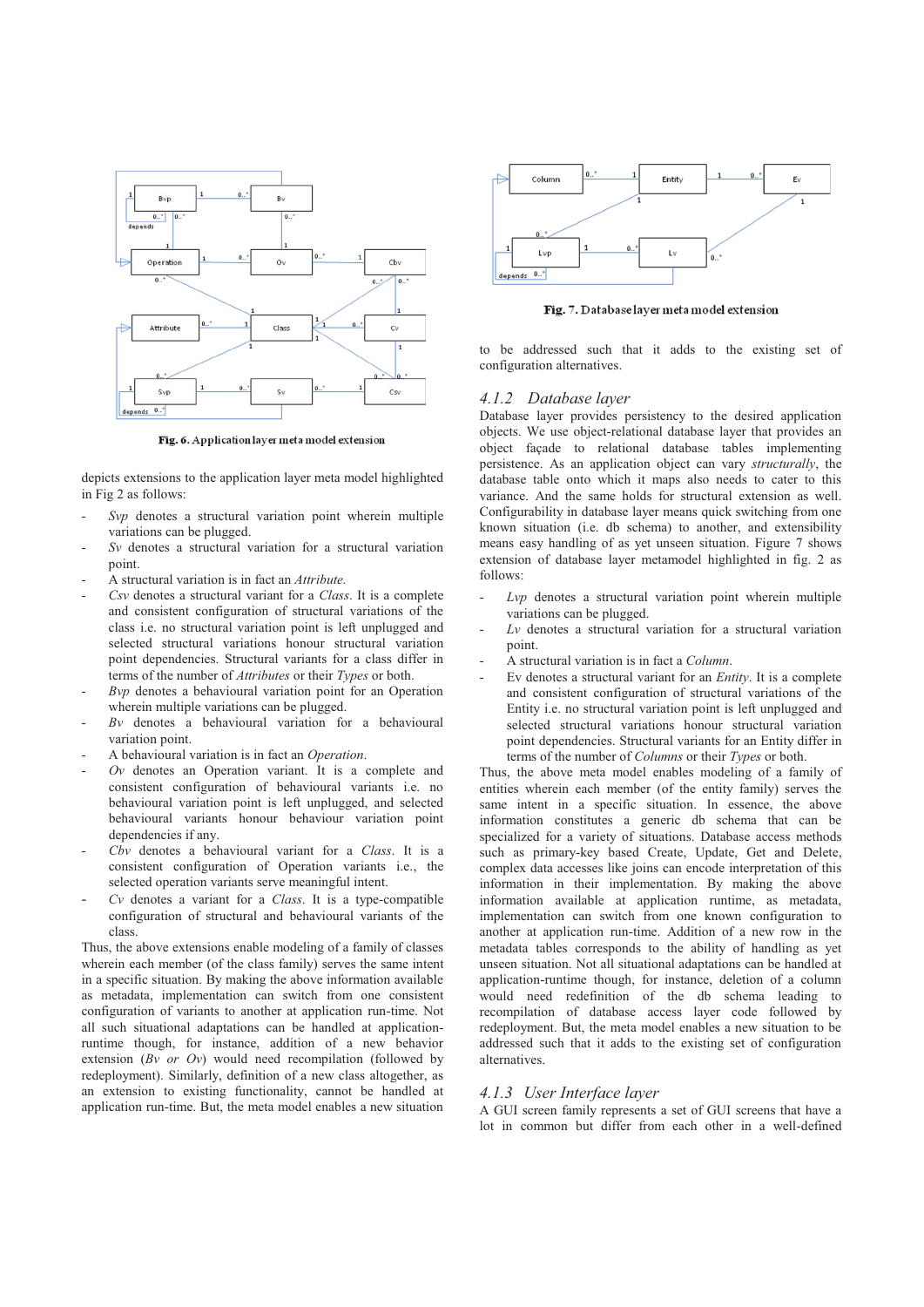

Fig. 6. Application layer meta model extension

depicts extensions to the application layer meta model highlighted in Fig 2 as follows:

- *Svp* denotes a structural variation point wherein multiple variations can be plugged.
- *Sv* denotes a structural variation for a structural variation point.
- A structural variation is in fact an *Attribute.*
- *Csv* denotes a structural variant for a *Class*. It is a complete and consistent configuration of structural variations of the class i.e. no structural variation point is left unplugged and selected structural variations honour structural variation point dependencies. Structural variants for a class differ in terms of the number of *Attributes* or their *Types* or both.
- *Bvp* denotes a behavioural variation point for an Operation wherein multiple variations can be plugged.
- *Bv* denotes a behavioural variation for a behavioural variation point.
- A behavioural variation is in fact an *Operation*.
- *Ov* denotes an Operation variant. It is a complete and consistent configuration of behavioural variants i.e. no behavioural variation point is left unplugged, and selected behavioural variants honour behaviour variation point dependencies if any.
- *Cbv* denotes a behavioural variant for a *Class*. It is a consistent configuration of Operation variants i.e., the selected operation variants serve meaningful intent.
- *Cv* denotes a variant for a *Class*. It is a type-compatible configuration of structural and behavioural variants of the class.

Thus, the above extensions enable modeling of a family of classes wherein each member (of the class family) serves the same intent in a specific situation. By making the above information available as metadata, implementation can switch from one consistent configuration of variants to another at application run-time. Not all such situational adaptations can be handled at applicationruntime though, for instance, addition of a new behavior extension (*Bv or Ov*) would need recompilation (followed by redeployment). Similarly, definition of a new class altogether, as an extension to existing functionality, cannot be handled at application run-time. But, the meta model enables a new situation



Fig. 7. Databaselayer meta model extension

to be addressed such that it adds to the existing set of configuration alternatives.

#### *4.1.2 Database layer*

Database layer provides persistency to the desired application objects. We use object-relational database layer that provides an object façade to relational database tables implementing persistence. As an application object can vary *structurally*, the database table onto which it maps also needs to cater to this variance. And the same holds for structural extension as well. Configurability in database layer means quick switching from one known situation (i.e. db schema) to another, and extensibility means easy handling of as yet unseen situation. Figure 7 shows extension of database layer metamodel highlighted in fig. 2 as follows:

- Lvp denotes a structural variation point wherein multiple variations can be plugged.
- Lv denotes a structural variation for a structural variation point.
- A structural variation is in fact a *Column*.
- Ev denotes a structural variant for an *Entity*. It is a complete and consistent configuration of structural variations of the Entity i.e. no structural variation point is left unplugged and selected structural variations honour structural variation point dependencies. Structural variants for an Entity differ in terms of the number of *Columns* or their *Types* or both.

Thus, the above meta model enables modeling of a family of entities wherein each member (of the entity family) serves the same intent in a specific situation. In essence, the above information constitutes a generic db schema that can be specialized for a variety of situations. Database access methods such as primary-key based Create, Update, Get and Delete, complex data accesses like joins can encode interpretation of this information in their implementation. By making the above information available at application runtime, as metadata, implementation can switch from one known configuration to another at application run-time. Addition of a new row in the metadata tables corresponds to the ability of handling as yet unseen situation. Not all situational adaptations can be handled at application-runtime though, for instance, deletion of a column would need redefinition of the db schema leading to recompilation of database access layer code followed by redeployment. But, the meta model enables a new situation to be addressed such that it adds to the existing set of configuration alternatives.

#### *4.1.3 User Interface layer*

A GUI screen family represents a set of GUI screens that have a lot in common but differ from each other in a well-defined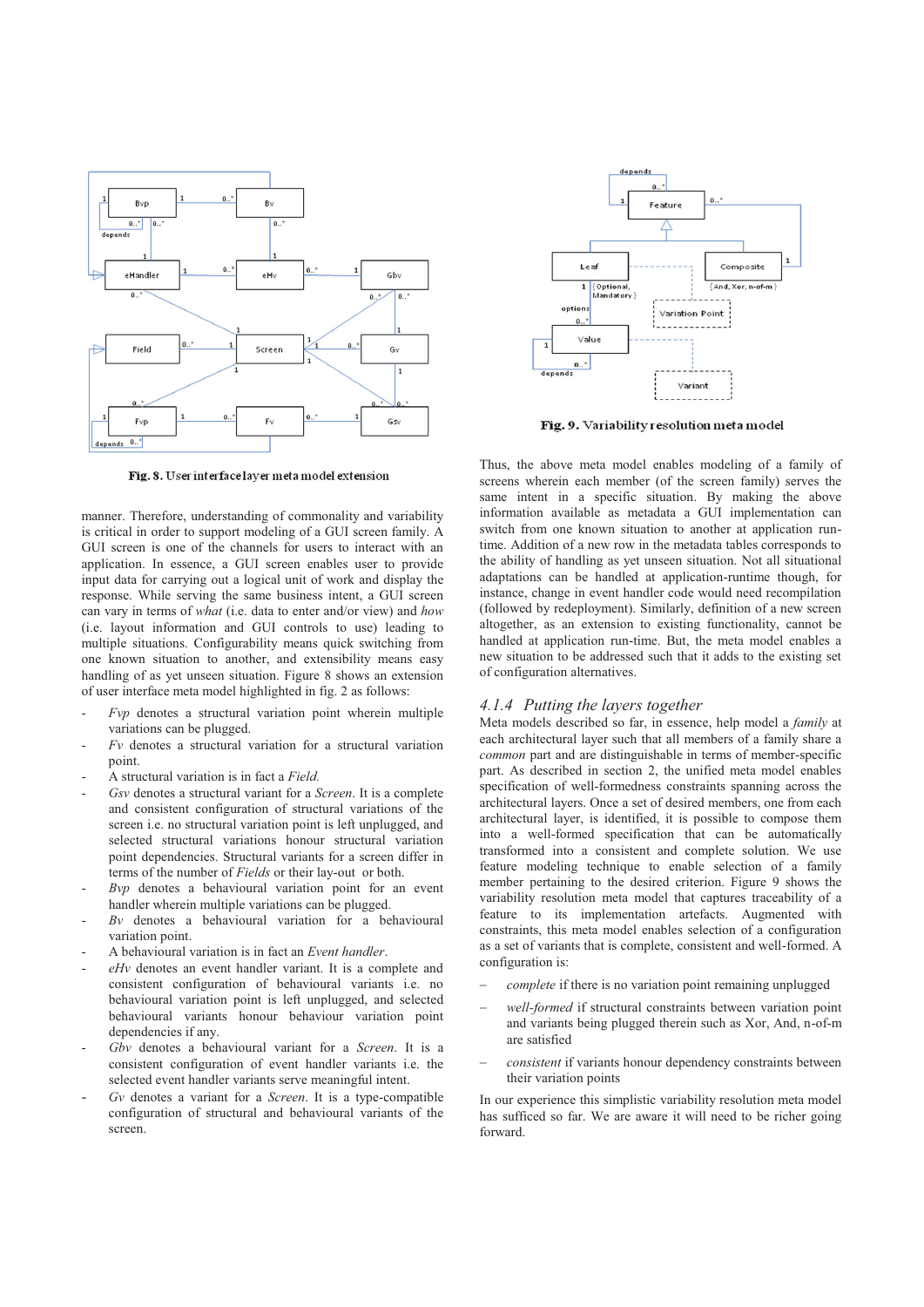

Fig. 8. User interface layer meta model extension

manner. Therefore, understanding of commonality and variability is critical in order to support modeling of a GUI screen family. A GUI screen is one of the channels for users to interact with an application. In essence, a GUI screen enables user to provide input data for carrying out a logical unit of work and display the response. While serving the same business intent, a GUI screen can vary in terms of *what* (i.e. data to enter and/or view) and *how* (i.e. layout information and GUI controls to use) leading to multiple situations. Configurability means quick switching from one known situation to another, and extensibility means easy handling of as yet unseen situation. Figure 8 shows an extension of user interface meta model highlighted in fig. 2 as follows:

- *Fvp* denotes a structural variation point wherein multiple variations can be plugged.
- *Fv* denotes a structural variation for a structural variation point.
- A structural variation is in fact a *Field.*
- *Gsv* denotes a structural variant for a *Screen*. It is a complete and consistent configuration of structural variations of the screen i.e. no structural variation point is left unplugged, and selected structural variations honour structural variation point dependencies. Structural variants for a screen differ in terms of the number of *Fields* or their lay-out or both.
- *Bvp* denotes a behavioural variation point for an event handler wherein multiple variations can be plugged.
- *Bv* denotes a behavioural variation for a behavioural variation point.
- A behavioural variation is in fact an *Event handler*.
- eHv denotes an event handler variant. It is a complete and consistent configuration of behavioural variants i.e. no behavioural variation point is left unplugged, and selected behavioural variants honour behaviour variation point dependencies if any.
- *Gbv* denotes a behavioural variant for a *Screen*. It is a consistent configuration of event handler variants i.e. the selected event handler variants serve meaningful intent.
- *Gv* denotes a variant for a *Screen*. It is a type-compatible configuration of structural and behavioural variants of the screen.



Fig. 9. Variability resolution meta model

Thus, the above meta model enables modeling of a family of screens wherein each member (of the screen family) serves the same intent in a specific situation. By making the above information available as metadata a GUI implementation can switch from one known situation to another at application runtime. Addition of a new row in the metadata tables corresponds to the ability of handling as yet unseen situation. Not all situational adaptations can be handled at application-runtime though, for instance, change in event handler code would need recompilation (followed by redeployment). Similarly, definition of a new screen altogether, as an extension to existing functionality, cannot be handled at application run-time. But, the meta model enables a new situation to be addressed such that it adds to the existing set of configuration alternatives.

#### *4.1.4 Putting the layers together*

Meta models described so far, in essence, help model a *family* at each architectural layer such that all members of a family share a *common* part and are distinguishable in terms of member-specific part. As described in section 2, the unified meta model enables specification of well-formedness constraints spanning across the architectural layers. Once a set of desired members, one from each architectural layer, is identified, it is possible to compose them into a well-formed specification that can be automatically transformed into a consistent and complete solution. We use feature modeling technique to enable selection of a family member pertaining to the desired criterion. Figure 9 shows the variability resolution meta model that captures traceability of a feature to its implementation artefacts. Augmented with constraints, this meta model enables selection of a configuration as a set of variants that is complete, consistent and well-formed. A configuration is:

- *complete* if there is no variation point remaining unplugged
- *well-formed* if structural constraints between variation point and variants being plugged therein such as Xor, And, n-of-m are satisfied
- *consistent* if variants honour dependency constraints between their variation points

In our experience this simplistic variability resolution meta model has sufficed so far. We are aware it will need to be richer going forward.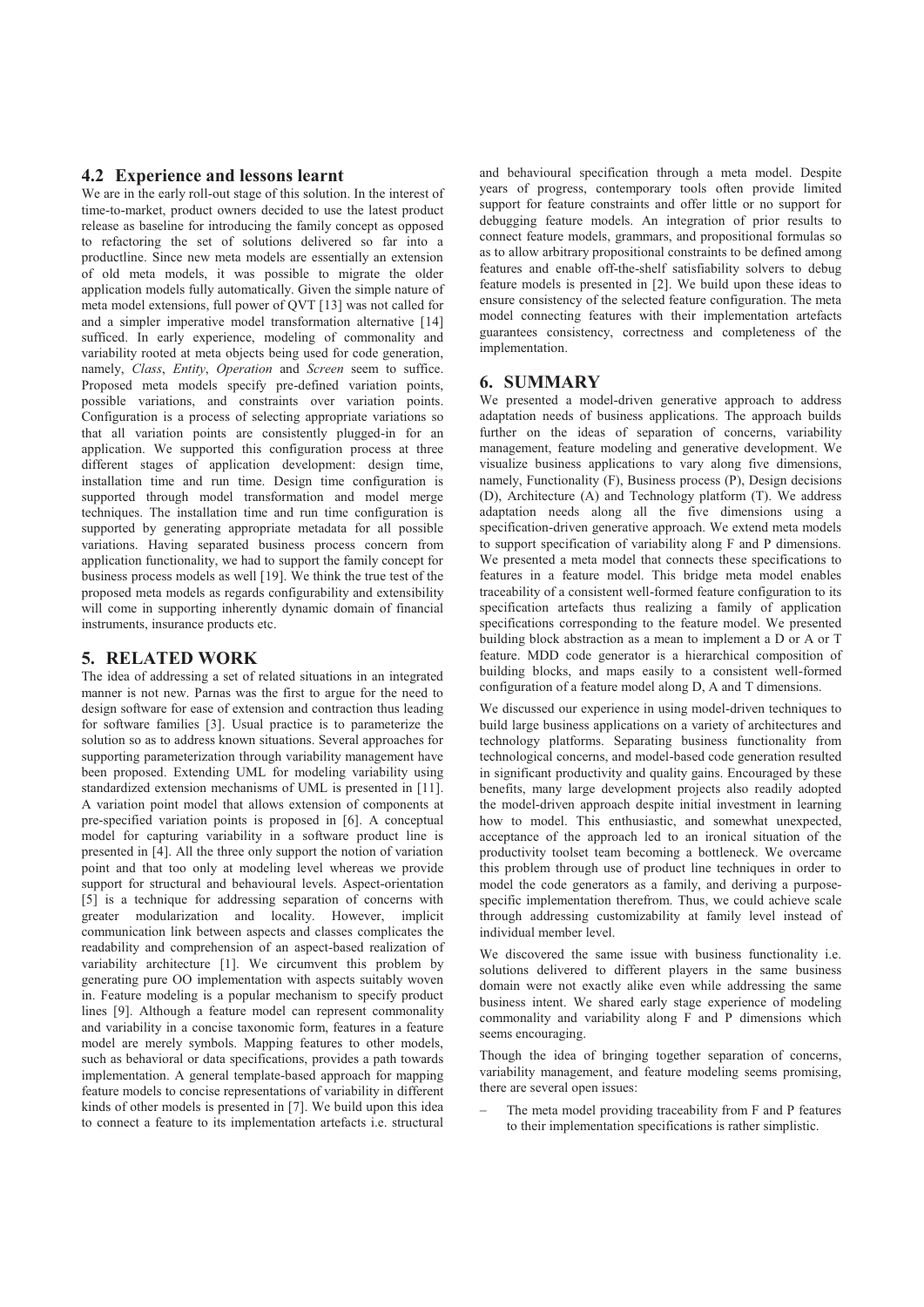## **4.2 Experience and lessons learnt**

We are in the early roll-out stage of this solution. In the interest of time-to-market, product owners decided to use the latest product release as baseline for introducing the family concept as opposed to refactoring the set of solutions delivered so far into a productline. Since new meta models are essentially an extension of old meta models, it was possible to migrate the older application models fully automatically. Given the simple nature of meta model extensions, full power of QVT [13] was not called for and a simpler imperative model transformation alternative [14] sufficed. In early experience, modeling of commonality and variability rooted at meta objects being used for code generation, namely, *Class*, *Entity*, *Operation* and *Screen* seem to suffice. Proposed meta models specify pre-defined variation points, possible variations, and constraints over variation points. Configuration is a process of selecting appropriate variations so that all variation points are consistently plugged-in for an application. We supported this configuration process at three different stages of application development: design time, installation time and run time. Design time configuration is supported through model transformation and model merge techniques. The installation time and run time configuration is supported by generating appropriate metadata for all possible variations. Having separated business process concern from application functionality, we had to support the family concept for business process models as well [19]. We think the true test of the proposed meta models as regards configurability and extensibility will come in supporting inherently dynamic domain of financial instruments, insurance products etc.

# **5. RELATED WORK**

The idea of addressing a set of related situations in an integrated manner is not new. Parnas was the first to argue for the need to design software for ease of extension and contraction thus leading for software families [3]. Usual practice is to parameterize the solution so as to address known situations. Several approaches for supporting parameterization through variability management have been proposed. Extending UML for modeling variability using standardized extension mechanisms of UML is presented in [11]. A variation point model that allows extension of components at pre-specified variation points is proposed in [6]. A conceptual model for capturing variability in a software product line is presented in [4]. All the three only support the notion of variation point and that too only at modeling level whereas we provide support for structural and behavioural levels. Aspect-orientation [5] is a technique for addressing separation of concerns with greater modularization and locality. However, implicit communication link between aspects and classes complicates the readability and comprehension of an aspect-based realization of variability architecture [1]. We circumvent this problem by generating pure OO implementation with aspects suitably woven in. Feature modeling is a popular mechanism to specify product lines [9]. Although a feature model can represent commonality and variability in a concise taxonomic form, features in a feature model are merely symbols. Mapping features to other models, such as behavioral or data specifications, provides a path towards implementation. A general template-based approach for mapping feature models to concise representations of variability in different kinds of other models is presented in [7]. We build upon this idea to connect a feature to its implementation artefacts i.e. structural

and behavioural specification through a meta model. Despite years of progress, contemporary tools often provide limited support for feature constraints and offer little or no support for debugging feature models. An integration of prior results to connect feature models, grammars, and propositional formulas so as to allow arbitrary propositional constraints to be defined among features and enable off-the-shelf satisfiability solvers to debug feature models is presented in [2]. We build upon these ideas to ensure consistency of the selected feature configuration. The meta model connecting features with their implementation artefacts guarantees consistency, correctness and completeness of the implementation.

#### **6. SUMMARY**

We presented a model-driven generative approach to address adaptation needs of business applications. The approach builds further on the ideas of separation of concerns, variability management, feature modeling and generative development. We visualize business applications to vary along five dimensions, namely, Functionality (F), Business process (P), Design decisions (D), Architecture (A) and Technology platform (T). We address adaptation needs along all the five dimensions using a specification-driven generative approach. We extend meta models to support specification of variability along F and P dimensions. We presented a meta model that connects these specifications to features in a feature model. This bridge meta model enables traceability of a consistent well-formed feature configuration to its specification artefacts thus realizing a family of application specifications corresponding to the feature model. We presented building block abstraction as a mean to implement a D or A or T feature. MDD code generator is a hierarchical composition of building blocks, and maps easily to a consistent well-formed configuration of a feature model along D, A and T dimensions.

We discussed our experience in using model-driven techniques to build large business applications on a variety of architectures and technology platforms. Separating business functionality from technological concerns, and model-based code generation resulted in significant productivity and quality gains. Encouraged by these benefits, many large development projects also readily adopted the model-driven approach despite initial investment in learning how to model. This enthusiastic, and somewhat unexpected, acceptance of the approach led to an ironical situation of the productivity toolset team becoming a bottleneck. We overcame this problem through use of product line techniques in order to model the code generators as a family, and deriving a purposespecific implementation therefrom. Thus, we could achieve scale through addressing customizability at family level instead of individual member level.

We discovered the same issue with business functionality i.e. solutions delivered to different players in the same business domain were not exactly alike even while addressing the same business intent. We shared early stage experience of modeling commonality and variability along F and P dimensions which seems encouraging.

Though the idea of bringing together separation of concerns, variability management, and feature modeling seems promising, there are several open issues:

- The meta model providing traceability from F and P features to their implementation specifications is rather simplistic.